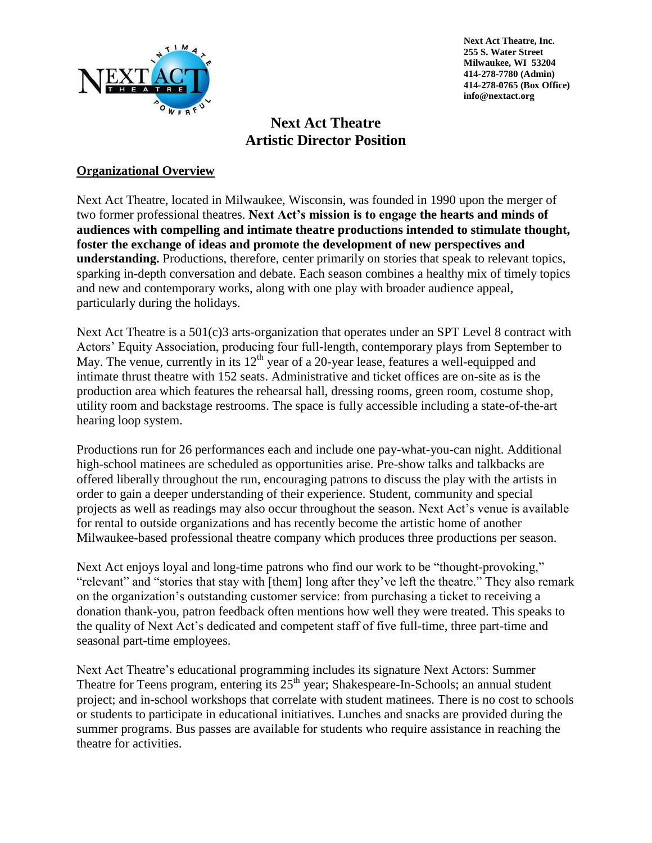

**Next Act Theatre, Inc. 255 S. Water Street Milwaukee, WI 53204 414-278-7780 (Admin) 414-278-0765 (Box Office) info@nextact.org**

# **Next Act Theatre Artistic Director Position**

### **Organizational Overview**

Next Act Theatre, located in Milwaukee, Wisconsin, was founded in 1990 upon the merger of two former professional theatres. **Next Act's mission is to engage the hearts and minds of audiences with compelling and intimate theatre productions intended to stimulate thought, foster the exchange of ideas and promote the development of new perspectives and understanding.** Productions, therefore, center primarily on stories that speak to relevant topics, sparking in-depth conversation and debate. Each season combines a healthy mix of timely topics and new and contemporary works, along with one play with broader audience appeal, particularly during the holidays.

Next Act Theatre is a 501(c)3 arts-organization that operates under an SPT Level 8 contract with Actors' Equity Association, producing four full-length, contemporary plays from September to May. The venue, currently in its  $12<sup>th</sup>$  year of a 20-year lease, features a well-equipped and intimate thrust theatre with 152 seats. Administrative and ticket offices are on-site as is the production area which features the rehearsal hall, dressing rooms, green room, costume shop, utility room and backstage restrooms. The space is fully accessible including a state-of-the-art hearing loop system.

Productions run for 26 performances each and include one pay-what-you-can night. Additional high-school matinees are scheduled as opportunities arise. Pre-show talks and talkbacks are offered liberally throughout the run, encouraging patrons to discuss the play with the artists in order to gain a deeper understanding of their experience. Student, community and special projects as well as readings may also occur throughout the season. Next Act's venue is available for rental to outside organizations and has recently become the artistic home of another Milwaukee-based professional theatre company which produces three productions per season.

Next Act enjoys loyal and long-time patrons who find our work to be "thought-provoking," "relevant" and "stories that stay with [them] long after they've left the theatre." They also remark on the organization's outstanding customer service: from purchasing a ticket to receiving a donation thank-you, patron feedback often mentions how well they were treated. This speaks to the quality of Next Act's dedicated and competent staff of five full-time, three part-time and seasonal part-time employees.

Next Act Theatre's educational programming includes its signature Next Actors: Summer Theatre for Teens program, entering its  $25<sup>th</sup>$  year; Shakespeare-In-Schools; an annual student project; and in-school workshops that correlate with student matinees. There is no cost to schools or students to participate in educational initiatives. Lunches and snacks are provided during the summer programs. Bus passes are available for students who require assistance in reaching the theatre for activities.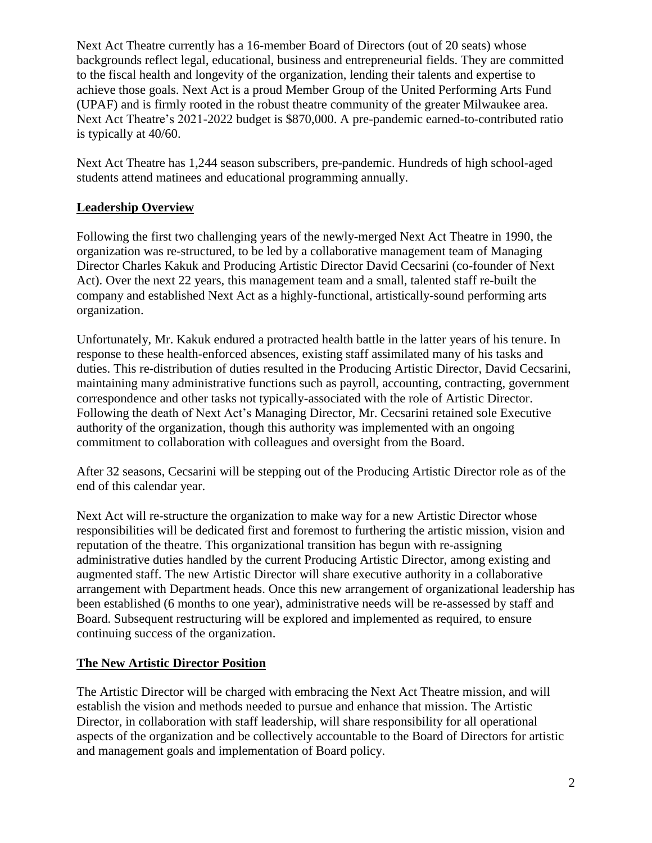Next Act Theatre currently has a 16-member Board of Directors (out of 20 seats) whose backgrounds reflect legal, educational, business and entrepreneurial fields. They are committed to the fiscal health and longevity of the organization, lending their talents and expertise to achieve those goals. Next Act is a proud Member Group of the United Performing Arts Fund (UPAF) and is firmly rooted in the robust theatre community of the greater Milwaukee area. Next Act Theatre's 2021-2022 budget is \$870,000. A pre-pandemic earned-to-contributed ratio is typically at 40/60.

Next Act Theatre has 1,244 season subscribers, pre-pandemic. Hundreds of high school-aged students attend matinees and educational programming annually.

### **Leadership Overview**

Following the first two challenging years of the newly-merged Next Act Theatre in 1990, the organization was re-structured, to be led by a collaborative management team of Managing Director Charles Kakuk and Producing Artistic Director David Cecsarini (co-founder of Next Act). Over the next 22 years, this management team and a small, talented staff re-built the company and established Next Act as a highly-functional, artistically-sound performing arts organization.

Unfortunately, Mr. Kakuk endured a protracted health battle in the latter years of his tenure. In response to these health-enforced absences, existing staff assimilated many of his tasks and duties. This re-distribution of duties resulted in the Producing Artistic Director, David Cecsarini, maintaining many administrative functions such as payroll, accounting, contracting, government correspondence and other tasks not typically-associated with the role of Artistic Director. Following the death of Next Act's Managing Director, Mr. Cecsarini retained sole Executive authority of the organization, though this authority was implemented with an ongoing commitment to collaboration with colleagues and oversight from the Board.

After 32 seasons, Cecsarini will be stepping out of the Producing Artistic Director role as of the end of this calendar year.

Next Act will re-structure the organization to make way for a new Artistic Director whose responsibilities will be dedicated first and foremost to furthering the artistic mission, vision and reputation of the theatre. This organizational transition has begun with re-assigning administrative duties handled by the current Producing Artistic Director, among existing and augmented staff. The new Artistic Director will share executive authority in a collaborative arrangement with Department heads. Once this new arrangement of organizational leadership has been established (6 months to one year), administrative needs will be re-assessed by staff and Board. Subsequent restructuring will be explored and implemented as required, to ensure continuing success of the organization.

### **The New Artistic Director Position**

The Artistic Director will be charged with embracing the Next Act Theatre mission, and will establish the vision and methods needed to pursue and enhance that mission. The Artistic Director, in collaboration with staff leadership, will share responsibility for all operational aspects of the organization and be collectively accountable to the Board of Directors for artistic and management goals and implementation of Board policy.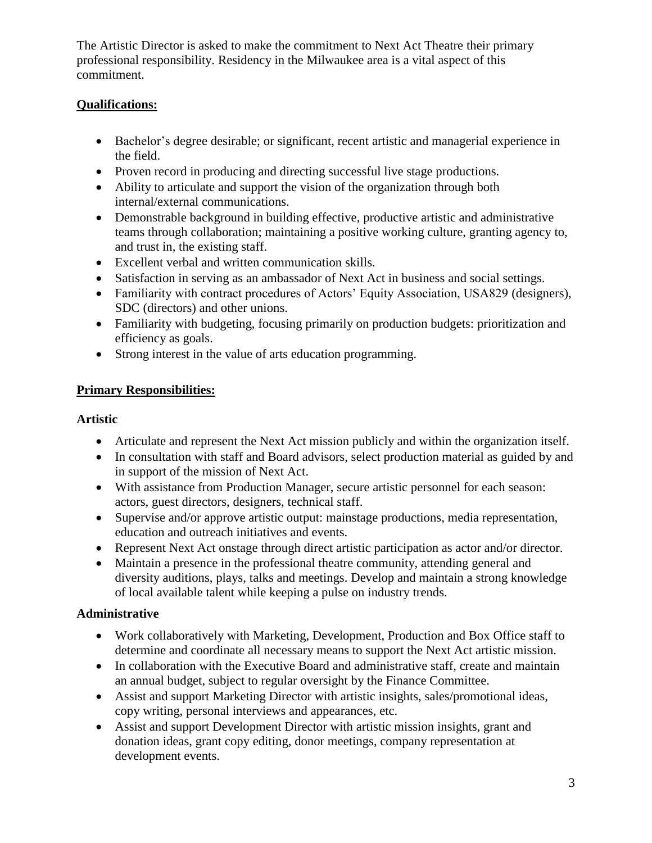The Artistic Director is asked to make the commitment to Next Act Theatre their primary professional responsibility. Residency in the Milwaukee area is a vital aspect of this commitment.

### **Qualifications:**

- Bachelor's degree desirable; or significant, recent artistic and managerial experience in the field.
- Proven record in producing and directing successful live stage productions.
- Ability to articulate and support the vision of the organization through both internal/external communications.
- Demonstrable background in building effective, productive artistic and administrative teams through collaboration; maintaining a positive working culture, granting agency to, and trust in, the existing staff.
- Excellent verbal and written communication skills.
- Satisfaction in serving as an ambassador of Next Act in business and social settings.
- Familiarity with contract procedures of Actors' Equity Association, USA829 (designers), SDC (directors) and other unions.
- Familiarity with budgeting, focusing primarily on production budgets: prioritization and efficiency as goals.
- Strong interest in the value of arts education programming.

## **Primary Responsibilities:**

### **Artistic**

- Articulate and represent the Next Act mission publicly and within the organization itself.
- In consultation with staff and Board advisors, select production material as guided by and in support of the mission of Next Act.
- With assistance from Production Manager, secure artistic personnel for each season: actors, guest directors, designers, technical staff.
- Supervise and/or approve artistic output: mainstage productions, media representation, education and outreach initiatives and events.
- Represent Next Act onstage through direct artistic participation as actor and/or director.
- Maintain a presence in the professional theatre community, attending general and diversity auditions, plays, talks and meetings. Develop and maintain a strong knowledge of local available talent while keeping a pulse on industry trends.

## **Administrative**

- Work collaboratively with Marketing, Development, Production and Box Office staff to determine and coordinate all necessary means to support the Next Act artistic mission.
- In collaboration with the Executive Board and administrative staff, create and maintain an annual budget, subject to regular oversight by the Finance Committee.
- Assist and support Marketing Director with artistic insights, sales/promotional ideas, copy writing, personal interviews and appearances, etc.
- Assist and support Development Director with artistic mission insights, grant and donation ideas, grant copy editing, donor meetings, company representation at development events.